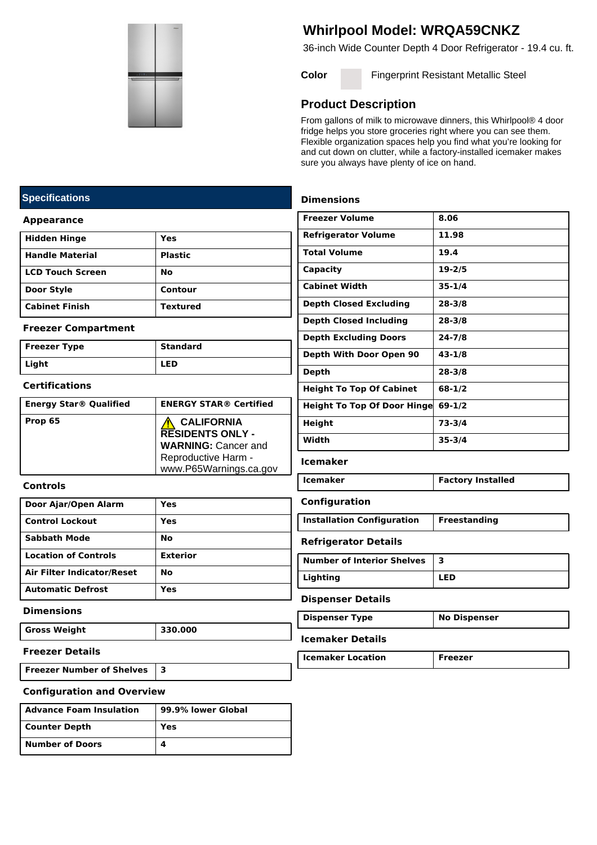

# **Whirlpool Model: WRQA59CNKZ**

36-inch Wide Counter Depth 4 Door Refrigerator - 19.4 cu. ft.

**Color Fingerprint Resistant Metallic Steel** 

## **Product Description**

From gallons of milk to microwave dinners, this Whirlpool® 4 door fridge helps you store groceries right where you can see them. Flexible organization spaces help you find what you're looking for and cut down on clutter, while a factory-installed icemaker makes sure you always have plenty of ice on hand.

### **Dimensions**

| 8.06                                             |
|--------------------------------------------------|
| 11.98                                            |
| 19.4                                             |
| $19 - 2/5$                                       |
| $35 - 1/4$                                       |
| $28 - 3/8$                                       |
| $28 - 3/8$                                       |
| $24 - 7/8$                                       |
| 43-1/8                                           |
| $28 - 3/8$                                       |
| 68-1/2                                           |
| <b>Height To Top Of Door Hinge</b><br>$69 - 1/2$ |
| 73-3/4                                           |
| $35 - 3/4$                                       |
|                                                  |

#### **Icemaker**

| Icemaker | <b>Factory Installed</b> |
|----------|--------------------------|
|          |                          |

#### **Configuration**

| <b>Installation Configuration</b> | Freestanding |
|-----------------------------------|--------------|
|-----------------------------------|--------------|

#### **Refrigerator Details**

| <b>Number of Interior Shelves</b> |            |
|-----------------------------------|------------|
| Lighting                          | <b>LED</b> |

#### **Dispenser Details**

| <b>No Dispenser</b><br>Dispenser Type |  |
|---------------------------------------|--|
|---------------------------------------|--|

## **Icemaker Details**

| <b>Icemaker Location</b> | Freezer |
|--------------------------|---------|

## **Specifications**

#### **Appearance**

| Hidden Hinge       | Yes             |
|--------------------|-----------------|
| l Handle Material  | <b>Plastic</b>  |
| l LCD Touch Screen | No              |
| <b>Door Style</b>  | Contour         |
| l Cabinet Finish   | <b>Textured</b> |

#### **Freezer Compartment**

| Freezer Type | <b>Standard</b> |
|--------------|-----------------|
| Light        | <b>LED</b>      |

#### **Certifications**

| <b>Energy Star® Qualified</b> | <b>ENERGY STAR® Certified</b>                                                                                               |
|-------------------------------|-----------------------------------------------------------------------------------------------------------------------------|
| Prop 65                       | <b>CALIFORNIA</b><br><b>RESIDENTS ONLY -</b><br><b>WARNING: Cancer and</b><br>Reproductive Harm -<br>www.P65Warnings.ca.gov |

#### **Controls**

| Door Ajar/Open Alarm        | Yes             |
|-----------------------------|-----------------|
| <b>Control Lockout</b>      | Yes             |
| <b>Sabbath Mode</b>         | No              |
| <b>Location of Controls</b> | <b>Exterior</b> |
| Air Filter Indicator/Reset  | No              |
| <b>Automatic Defrost</b>    | Yes             |

#### **Dimensions**

**Gross Weight 330.000**

#### **Freezer Details**

**Freezer Number of Shelves 3**

#### **Configuration and Overview**

| Advance Foam Insulation | 99.9% lower Global |
|-------------------------|--------------------|
| Counter Depth           | Yes                |
| Number of Doors         |                    |